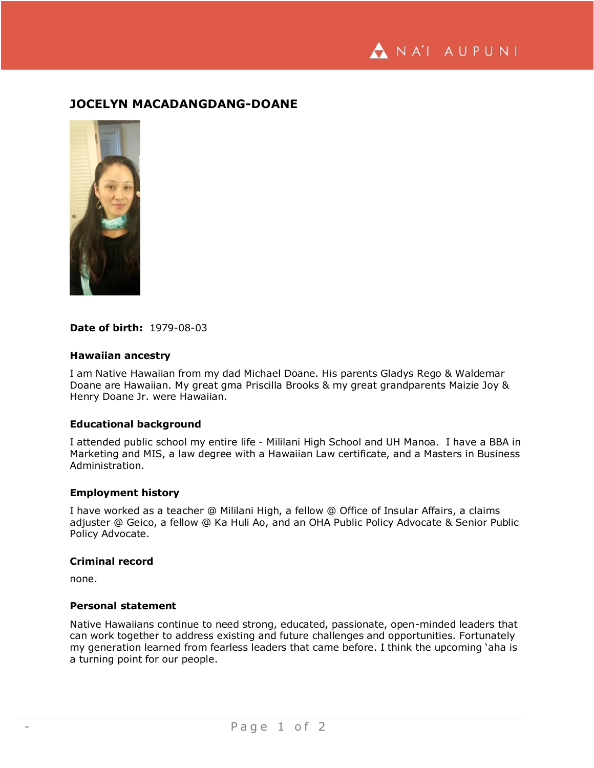NA'I AUPUNI

# **JOCELYN MACADANGDANG-DOANE**



## **Date of birth:** 1979-08-03

#### **Hawaiian ancestry**

I am Native Hawaiian from my dad Michael Doane. His parents Gladys Rego & Waldemar Doane are Hawaiian. My great gma Priscilla Brooks & my great grandparents Maizie Joy & Henry Doane Jr. were Hawaiian.

# **Educational background**

I attended public school my entire life - Mililani High School and UH Manoa. I have a BBA in Marketing and MIS, a law degree with a Hawaiian Law certificate, and a Masters in Business Administration.

#### **Employment history**

I have worked as a teacher @ Mililani High, a fellow @ Office of Insular Affairs, a claims adjuster @ Geico, a fellow @ Ka Huli Ao, and an OHA Public Policy Advocate & Senior Public Policy Advocate.

## **Criminal record**

none.

#### **Personal statement**

Native Hawaiians continue to need strong, educated, passionate, open-minded leaders that can work together to address existing and future challenges and opportunities. Fortunately my generation learned from fearless leaders that came before. I think the upcoming 'aha is a turning point for our people.